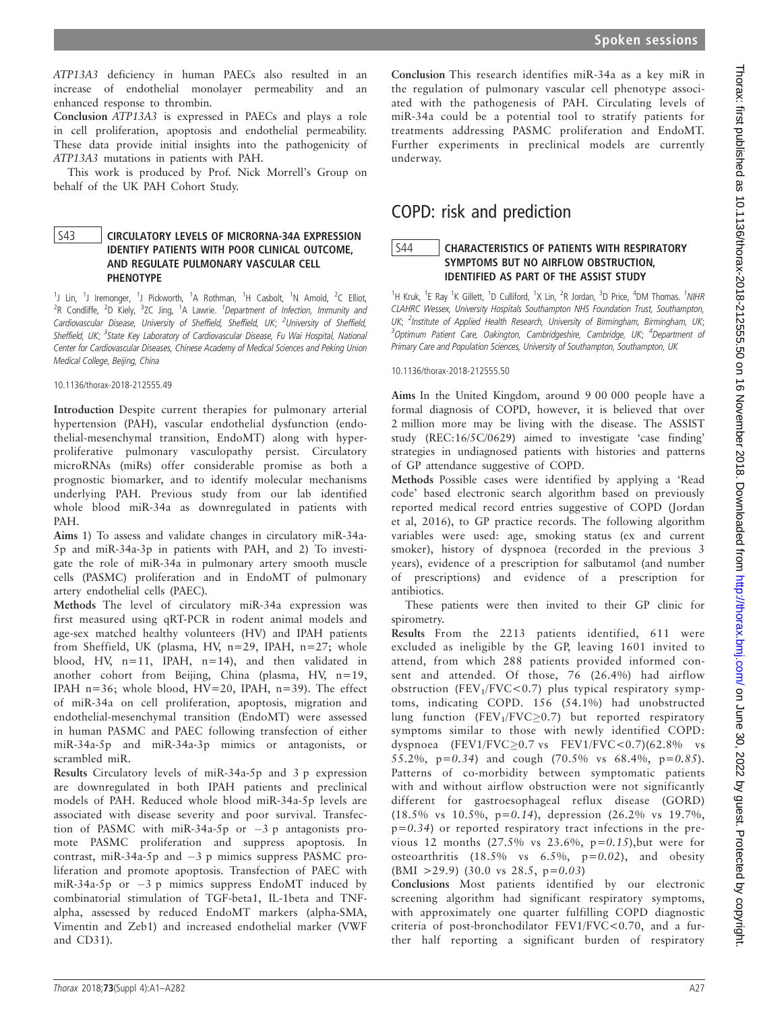ATP13A3 deficiency in human PAECs also resulted in an increase of endothelial monolayer permeability and an enhanced response to thrombin.

Conclusion ATP13A3 is expressed in PAECs and plays a role in cell proliferation, apoptosis and endothelial permeability. These data provide initial insights into the pathogenicity of ATP13A3 mutations in patients with PAH.

This work is produced by Prof. Nick Morrell's Group on behalf of the UK PAH Cohort Study.

### S43 **CIRCULATORY LEVELS OF MICRORNA-34A EXPRESSION** IDENTIFY PATIENTS WITH POOR CLINICAL OUTCOME, AND REGULATE PULMONARY VASCULAR CELL PHENOTYPE

<sup>1</sup>J Lin, <sup>1</sup>J Iremonger, <sup>1</sup>J Pickworth, <sup>1</sup>A Rothman, <sup>1</sup>H Casbolt, <sup>1</sup>N Arnold, <sup>2</sup>C Elliot, <sup>2</sup>R Condliffe, <sup>2</sup>D Kiely, <sup>3</sup>ZC Jing, <sup>1</sup>A Lawrie. <sup>1</sup>Department of Infection, Immunity and Cardiovascular Disease, University of Sheffield, Sheffield, UK; <sup>2</sup>University of Sheffield, Sheffield, UK; <sup>3</sup>State Key Laboratory of Cardiovascular Disease, Fu Wai Hospital, National Center for Cardiovascular Diseases, Chinese Academy of Medical Sciences and Peking Union Medical College, Beijing, China

#### 10.1136/thorax-2018-212555.49

Introduction Despite current therapies for pulmonary arterial hypertension (PAH), vascular endothelial dysfunction (endothelial-mesenchymal transition, EndoMT) along with hyperproliferative pulmonary vasculopathy persist. Circulatory microRNAs (miRs) offer considerable promise as both a prognostic biomarker, and to identify molecular mechanisms underlying PAH. Previous study from our lab identified whole blood miR-34a as downregulated in patients with PAH.

Aims 1) To assess and validate changes in circulatory miR-34a-5p and miR-34a-3p in patients with PAH, and 2) To investigate the role of miR-34a in pulmonary artery smooth muscle cells (PASMC) proliferation and in EndoMT of pulmonary artery endothelial cells (PAEC).

Methods The level of circulatory miR-34a expression was first measured using qRT-PCR in rodent animal models and age-sex matched healthy volunteers (HV) and IPAH patients from Sheffield, UK (plasma, HV, n=29, IPAH, n=27; whole blood, HV, n=11, IPAH, n=14), and then validated in another cohort from Beijing, China (plasma, HV, n=19, IPAH n=36; whole blood, HV=20, IPAH, n=39). The effect of miR-34a on cell proliferation, apoptosis, migration and endothelial-mesenchymal transition (EndoMT) were assessed in human PASMC and PAEC following transfection of either miR-34a-5p and miR-34a-3p mimics or antagonists, or scrambled miR.

Results Circulatory levels of miR-34a-5p and 3 p expression are downregulated in both IPAH patients and preclinical models of PAH. Reduced whole blood miR-34a-5p levels are associated with disease severity and poor survival. Transfection of PASMC with miR-34a-5p or  $-3$  p antagonists promote PASMC proliferation and suppress apoptosis. In contrast, miR-34a-5p and  $-3$  p mimics suppress PASMC proliferation and promote apoptosis. Transfection of PAEC with miR-34a-5p or  $-3$  p mimics suppress EndoMT induced by combinatorial stimulation of TGF-beta1, IL-1beta and TNFalpha, assessed by reduced EndoMT markers (alpha-SMA, Vimentin and Zeb1) and increased endothelial marker (VWF and CD31).

Conclusion This research identifies miR-34a as a key miR in the regulation of pulmonary vascular cell phenotype associated with the pathogenesis of PAH. Circulating levels of miR-34a could be a potential tool to stratify patients for treatments addressing PASMC proliferation and EndoMT. Further experiments in preclinical models are currently underway.

# COPD: risk and prediction

#### S44 **CHARACTERISTICS OF PATIENTS WITH RESPIRATORY** SYMPTOMS BUT NO AIRFLOW OBSTRUCTION, IDENTIFIED AS PART OF THE ASSIST STUDY

<sup>1</sup>H Kruk, <sup>1</sup>E Ray <sup>1</sup>K Gillett, <sup>1</sup>D Culliford, <sup>1</sup>X Lin, <sup>2</sup>R Jordan, <sup>3</sup>D Price, <sup>4</sup>DM Thomas. <sup>1</sup>NIHR CLAHRC Wessex, University Hospitals Southampton NHS Foundation Trust, Southampton, UK; <sup>2</sup>Institute of Applied Health Research, University of Birmingham, Birmingham, UK; <sup>3</sup>Optimum Patient Care, Oakington, Cambridgeshire, Cambridge, UK; <sup>4</sup>Department of Primary Care and Population Sciences, University of Southampton, Southampton, UK

10.1136/thorax-2018-212555.50

Aims In the United Kingdom, around 9 00 000 people have a formal diagnosis of COPD, however, it is believed that over 2 million more may be living with the disease. The ASSIST study (REC:16/5C/0629) aimed to investigate 'case finding' strategies in undiagnosed patients with histories and patterns of GP attendance suggestive of COPD.

Methods Possible cases were identified by applying a 'Read code' based electronic search algorithm based on previously reported medical record entries suggestive of COPD (Jordan et al, 2016), to GP practice records. The following algorithm variables were used: age, smoking status (ex and current smoker), history of dyspnoea (recorded in the previous 3 years), evidence of a prescription for salbutamol (and number of prescriptions) and evidence of a prescription for antibiotics.

These patients were then invited to their GP clinic for spirometry.

Results From the 2213 patients identified, 611 were excluded as ineligible by the GP, leaving 1601 invited to attend, from which 288 patients provided informed consent and attended. Of those, 76 (26.4%) had airflow obstruction (FEV<sub>1</sub>/FVC<0.7) plus typical respiratory symptoms, indicating COPD. 156 (54.1%) had unobstructed lung function (FEV<sub>1</sub>/FVC $\geq$ 0.7) but reported respiratory symptoms similar to those with newly identified COPD: dyspnoea (FEV1/FVC $\geq$ 0.7 vs FEV1/FVC $<$ 0.7)(62.8% vs 55.2%,  $p=0.34$ ) and cough (70.5% vs 68.4%,  $p=0.85$ ). Patterns of co-morbidity between symptomatic patients with and without airflow obstruction were not significantly different for gastroesophageal reflux disease (GORD) (18.5% vs 10.5%, p=0.14), depression (26.2% vs 19.7%,  $p=0.34$ ) or reported respiratory tract infections in the previous 12 months  $(27.5\% \text{ vs } 23.6\%, \text{ p=0.15})$ , but were for osteoarthritis  $(18.5\%$  vs  $6.5\%$ ,  $p=0.02$ ), and obesity  $(BMI > 29.9)$  (30.0 vs 28.5, p=0.03)

Conclusions Most patients identified by our electronic screening algorithm had significant respiratory symptoms, with approximately one quarter fulfilling COPD diagnostic criteria of post-bronchodilator FEV1/FVC<0.70, and a further half reporting a significant burden of respiratory